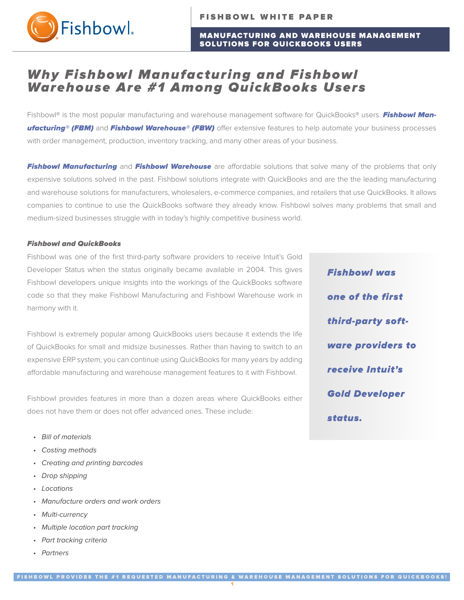

### MANUFACTURING AND WAREHOUSE MANAGEMENT SOLUTIONS FOR QUICKBOOKS USERS

# Why Fishbowl Manufacturing and Fishbowl Warehouse Are #1 Among QuickBooks Users

Fishbowl® is the most popular manufacturing and warehouse management software for QuickBooks® users. Fishbowl Manufacturing® (FBM) and Fishbowl Warehouse® (FBW) offer extensive features to help automate your business processes with order management, production, inventory tracking, and many other areas of your business.

Fishbowl Manufacturing and Fishbowl Warehouse are affordable solutions that solve many of the problems that only expensive solutions solved in the past. Fishbowl solutions integrate with QuickBooks and are the the leading manufacturing and warehouse solutions for manufacturers, wholesalers, e-commerce companies, and retailers that use QuickBooks. It allows companies to continue to use the QuickBooks software they already know. Fishbowl solves many problems that small and medium-sized businesses struggle with in today's highly competitive business world.

#### Fishbowl and QuickBooks

Fishbowl was one of the first third-party software providers to receive Intuit's Gold Developer Status when the status originally became available in 2004. This gives Fishbowl developers unique insights into the workings of the QuickBooks software code so that they make Fishbowl Manufacturing and Fishbowl Warehouse work in harmony with it.

Fishbowl is extremely popular among QuickBooks users because it extends the life of QuickBooks for small and midsize businesses. Rather than having to switch to an expensive ERP system, you can continue using QuickBooks for many years by adding affordable manufacturing and warehouse management features to it with Fishbowl.

Fishbowl provides features in more than a dozen areas where QuickBooks either does not have them or does not offer advanced ones. These include:

- Bill of materials
- Costing methods
- Creating and printing barcodes
- Drop shipping
- Locations
- Manufacture orders and work orders
- Multi-currency
- Multiple location part tracking
- Part tracking criteria
- Partners

**Fishbowl was** one of the first third-party software providers to receive Intuit's **Gold Developer** status.

1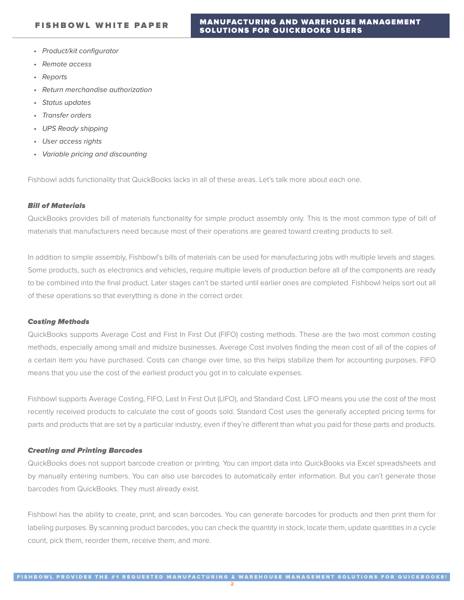- Product/kit configurator
- Remote access
- Reports
- Return merchandise authorization
- Status updates
- Transfer orders
- UPS Ready shipping
- User access rights
- Variable pricing and discounting

Fishbowl adds functionality that QuickBooks lacks in all of these areas. Let's talk more about each one.

#### Bill of Materials

QuickBooks provides bill of materials functionality for simple product assembly only. This is the most common type of bill of materials that manufacturers need because most of their operations are geared toward creating products to sell.

In addition to simple assembly, Fishbowl's bills of materials can be used for manufacturing jobs with multiple levels and stages. Some products, such as electronics and vehicles, require multiple levels of production before all of the components are ready to be combined into the final product. Later stages can't be started until earlier ones are completed. Fishbowl helps sort out all of these operations so that everything is done in the correct order.

#### Costing Methods

QuickBooks supports Average Cost and First In First Out (FIFO) costing methods. These are the two most common costing methods, especially among small and midsize businesses. Average Cost involves finding the mean cost of all of the copies of a certain item you have purchased. Costs can change over time, so this helps stabilize them for accounting purposes. FIFO means that you use the cost of the earliest product you got in to calculate expenses.

Fishbowl supports Average Costing, FIFO, Last In First Out (LIFO), and Standard Cost. LIFO means you use the cost of the most recently received products to calculate the cost of goods sold. Standard Cost uses the generally accepted pricing terms for parts and products that are set by a particular industry, even if they're different than what you paid for those parts and products.

#### Creating and Printing Barcodes

QuickBooks does not support barcode creation or printing. You can import data into QuickBooks via Excel spreadsheets and by manually entering numbers. You can also use barcodes to automatically enter information. But you can't generate those barcodes from QuickBooks. They must already exist.

Fishbowl has the ability to create, print, and scan barcodes. You can generate barcodes for products and then print them for labeling purposes. By scanning product barcodes, you can check the quantity in stock, locate them, update quantities in a cycle count, pick them, reorder them, receive them, and more.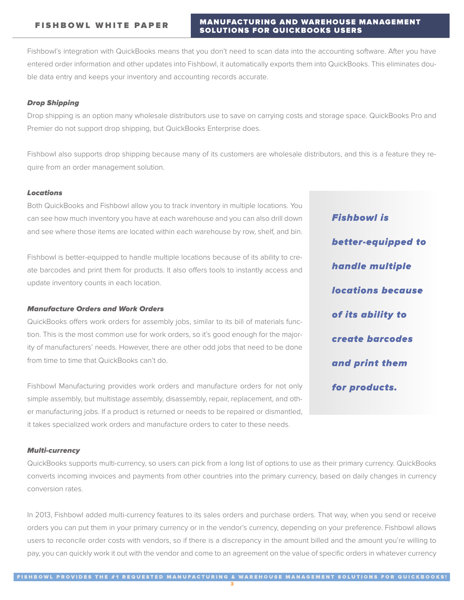# MANUFACTURING AND WAREHOUSE MANAGEMENT SOLUTIONS FOR QUICKBOOKS USERS

Fishbowl's integration with QuickBooks means that you don't need to scan data into the accounting software. After you have entered order information and other updates into Fishbowl, it automatically exports them into QuickBooks. This eliminates double data entry and keeps your inventory and accounting records accurate.

# Drop Shipping

Drop shipping is an option many wholesale distributors use to save on carrying costs and storage space. QuickBooks Pro and Premier do not support drop shipping, but QuickBooks Enterprise does.

Fishbowl also supports drop shipping because many of its customers are wholesale distributors, and this is a feature they require from an order management solution.

# Locations

Both QuickBooks and Fishbowl allow you to track inventory in multiple locations. You can see how much inventory you have at each warehouse and you can also drill down and see where those items are located within each warehouse by row, shelf, and bin.

Fishbowl is better-equipped to handle multiple locations because of its ability to create barcodes and print them for products. It also offers tools to instantly access and update inventory counts in each location.

# Manufacture Orders and Work Orders

QuickBooks offers work orders for assembly jobs, similar to its bill of materials function. This is the most common use for work orders, so it's good enough for the majority of manufacturers' needs. However, there are other odd jobs that need to be done from time to time that QuickBooks can't do.

Fishbowl Manufacturing provides work orders and manufacture orders for not only simple assembly, but multistage assembly, disassembly, repair, replacement, and other manufacturing jobs. If a product is returned or needs to be repaired or dismantled, it takes specialized work orders and manufacture orders to cater to these needs.

#### Multi-currency

QuickBooks supports multi-currency, so users can pick from a long list of options to use as their primary currency. QuickBooks converts incoming invoices and payments from other countries into the primary currency, based on daily changes in currency conversion rates.

In 2013, Fishbowl added multi-currency features to its sales orders and purchase orders. That way, when you send or receive orders you can put them in your primary currency or in the vendor's currency, depending on your preference. Fishbowl allows users to reconcile order costs with vendors, so if there is a discrepancy in the amount billed and the amount you're willing to pay, you can quickly work it out with the vendor and come to an agreement on the value of specific orders in whatever currency

**Fishbowl is** better-equipped to handle multiple *<u>Iocations because</u>* of its ability to create barcodes and print them for products.

3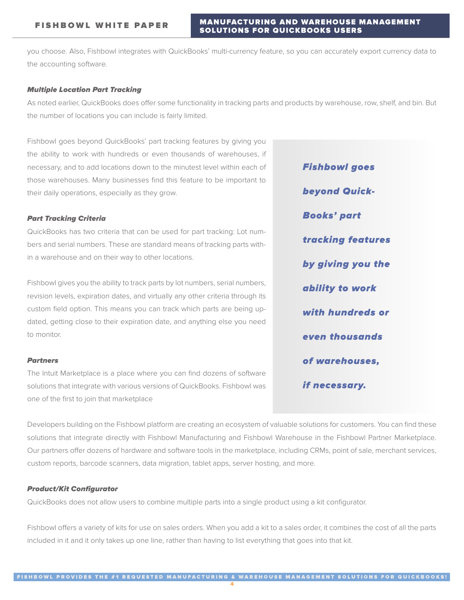you choose. Also, Fishbowl integrates with QuickBooks' multi-currency feature, so you can accurately export currency data to the accounting software.

#### Multiple Location Part Tracking

As noted earlier, QuickBooks does offer some functionality in tracking parts and products by warehouse, row, shelf, and bin. But the number of locations you can include is fairly limited.

Fishbowl goes beyond QuickBooks' part tracking features by giving you the ability to work with hundreds or even thousands of warehouses, if necessary, and to add locations down to the minutest level within each of those warehouses. Many businesses find this feature to be important to their daily operations, especially as they grow.

#### Part Tracking Criteria

QuickBooks has two criteria that can be used for part tracking: Lot numbers and serial numbers. These are standard means of tracking parts within a warehouse and on their way to other locations.

Fishbowl gives you the ability to track parts by lot numbers, serial numbers, revision levels, expiration dates, and virtually any other criteria through its custom field option. This means you can track which parts are being updated, getting close to their expiration date, and anything else you need to monitor.

#### Partners

The Intuit Marketplace is a place where you can find dozens of software solutions that integrate with various versions of QuickBooks. Fishbowl was one of the first to join that marketplace

**beyond Quick-Books' part** tracking features by giving you the ability to work with hundreds or even thousands of warehouses.

if necessary.

**Fishbowl goes** 

Developers building on the Fishbowl platform are creating an ecosystem of valuable solutions for customers. You can find these solutions that integrate directly with Fishbowl Manufacturing and Fishbowl Warehouse in the Fishbowl Partner Marketplace. Our partners offer dozens of hardware and software tools in the marketplace, including CRMs, point of sale, merchant services, custom reports, barcode scanners, data migration, tablet apps, server hosting, and more.

#### Product/Kit Configurator

QuickBooks does not allow users to combine multiple parts into a single product using a kit configurator.

Fishbowl offers a variety of kits for use on sales orders. When you add a kit to a sales order, it combines the cost of all the parts included in it and it only takes up one line, rather than having to list everything that goes into that kit.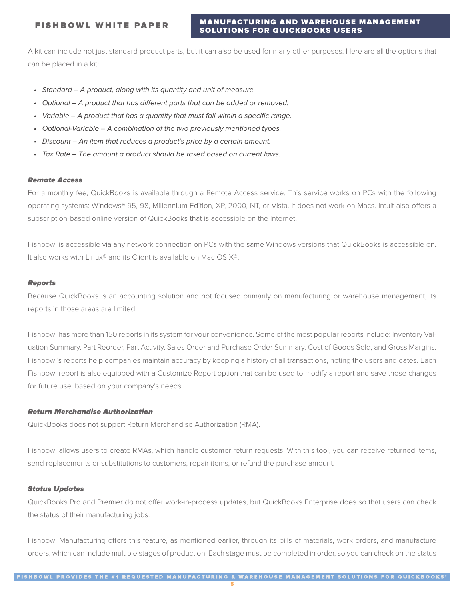A kit can include not just standard product parts, but it can also be used for many other purposes. Here are all the options that can be placed in a kit:

- Standard A product, along with its quantity and unit of measure.
- Optional A product that has different parts that can be added or removed.
- Variable A product that has a quantity that must fall within a specific range.
- Optional-Variable A combination of the two previously mentioned types.
- Discount An item that reduces a product's price by a certain amount.
- Tax Rate The amount a product should be taxed based on current laws.

#### Remote Access

For a monthly fee, QuickBooks is available through a Remote Access service. This service works on PCs with the following operating systems: Windows® 95, 98, Millennium Edition, XP, 2000, NT, or Vista. It does not work on Macs. Intuit also offers a subscription-based online version of QuickBooks that is accessible on the Internet.

Fishbowl is accessible via any network connection on PCs with the same Windows versions that QuickBooks is accessible on. It also works with Linux® and its Client is available on Mac OS X®.

#### Reports

Because QuickBooks is an accounting solution and not focused primarily on manufacturing or warehouse management, its reports in those areas are limited.

Fishbowl has more than 150 reports in its system for your convenience. Some of the most popular reports include: Inventory Valuation Summary, Part Reorder, Part Activity, Sales Order and Purchase Order Summary, Cost of Goods Sold, and Gross Margins. Fishbowl's reports help companies maintain accuracy by keeping a history of all transactions, noting the users and dates. Each Fishbowl report is also equipped with a Customize Report option that can be used to modify a report and save those changes for future use, based on your company's needs.

# Return Merchandise Authorization

QuickBooks does not support Return Merchandise Authorization (RMA).

Fishbowl allows users to create RMAs, which handle customer return requests. With this tool, you can receive returned items, send replacements or substitutions to customers, repair items, or refund the purchase amount.

#### Status Updates

QuickBooks Pro and Premier do not offer work-in-process updates, but QuickBooks Enterprise does so that users can check the status of their manufacturing jobs.

Fishbowl Manufacturing offers this feature, as mentioned earlier, through its bills of materials, work orders, and manufacture orders, which can include multiple stages of production. Each stage must be completed in order, so you can check on the status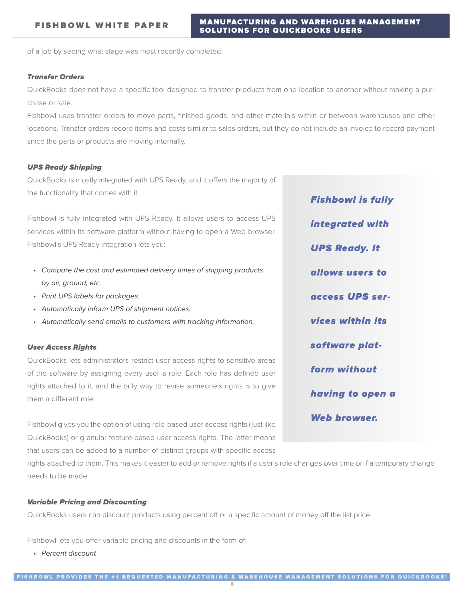of a job by seeing what stage was most recently completed.

#### Transfer Orders

QuickBooks does not have a specific tool designed to transfer products from one location to another without making a purchase or sale.

Fishbowl uses transfer orders to move parts, finished goods, and other materials within or between warehouses and other locations. Transfer orders record items and costs similar to sales orders, but they do not include an invoice to record payment since the parts or products are moving internally.

#### UPS Ready Shipping

QuickBooks is mostly integrated with UPS Ready, and it offers the majority of the functionality that comes with it.

Fishbowl is fully integrated with UPS Ready. It allows users to access UPS services within its software platform without having to open a Web browser. Fishbowl's UPS Ready integration lets you:

- Compare the cost and estimated delivery times of shipping products by air, ground, etc.
- Print UPS labels for packages.
- Automatically inform UPS of shipment notices.
- Automatically send emails to customers with tracking information.

#### User Access Rights

QuickBooks lets administrators restrict user access rights to sensitive areas of the software by assigning every user a role. Each role has defined user rights attached to it, and the only way to revise someone's rights is to give them a different role.

Fishbowl gives you the option of using role-based user access rights (just like QuickBooks) or granular feature-based user access rights. The latter means that users can be added to a number of distinct groups with specific access

rights attached to them. This makes it easier to add or remove rights if a user's role changes over time or if a temporary change needs to be made.

#### Variable Pricing and Discounting

QuickBooks users can discount products using percent off or a specific amount of money off the list price.

Fishbowl lets you offer variable pricing and discounts in the form of:

• Percent discount

**Fishbowl is fully** integrated with **UPS Ready. It** allows users to access UPS ser**vices within its** software platform without having to open a **Web browser.**